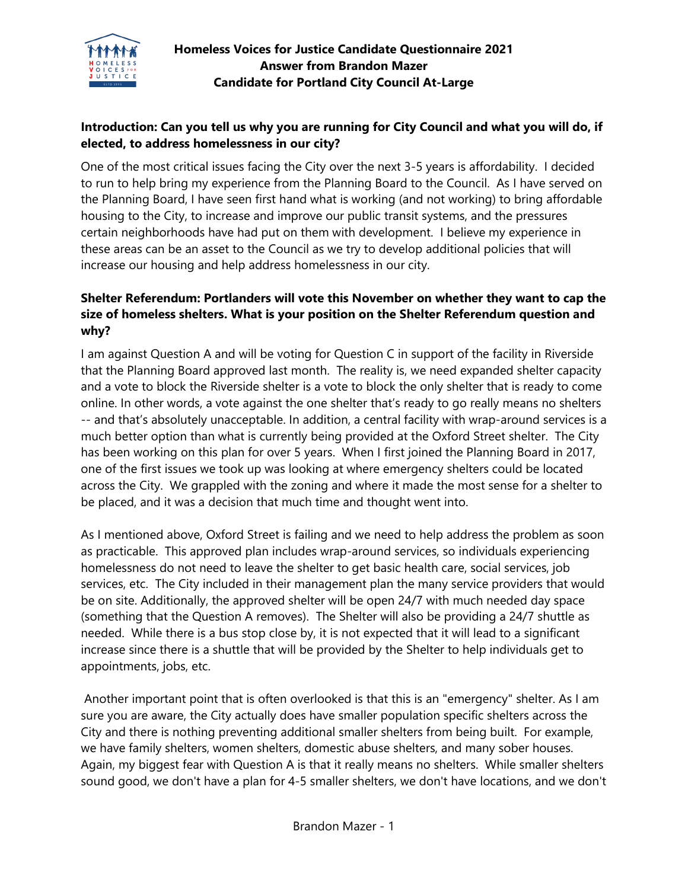

# **Introduction: Can you tell us why you are running for City Council and what you will do, if elected, to address homelessness in our city?**

One of the most critical issues facing the City over the next 3-5 years is affordability. I decided to run to help bring my experience from the Planning Board to the Council. As I have served on the Planning Board, I have seen first hand what is working (and not working) to bring affordable housing to the City, to increase and improve our public transit systems, and the pressures certain neighborhoods have had put on them with development. I believe my experience in these areas can be an asset to the Council as we try to develop additional policies that will increase our housing and help address homelessness in our city.

## **Shelter Referendum: Portlanders will vote this November on whether they want to cap the size of homeless shelters. What is your position on the Shelter Referendum question and why?**

I am against Question A and will be voting for Question C in support of the facility in Riverside that the Planning Board approved last month. The reality is, we need expanded shelter capacity and a vote to block the Riverside shelter is a vote to block the only shelter that is ready to come online. In other words, a vote against the one shelter that's ready to go really means no shelters -- and that's absolutely unacceptable. In addition, a central facility with wrap-around services is a much better option than what is currently being provided at the Oxford Street shelter. The City has been working on this plan for over 5 years. When I first joined the Planning Board in 2017, one of the first issues we took up was looking at where emergency shelters could be located across the City. We grappled with the zoning and where it made the most sense for a shelter to be placed, and it was a decision that much time and thought went into.

As I mentioned above, Oxford Street is failing and we need to help address the problem as soon as practicable. This approved plan includes wrap-around services, so individuals experiencing homelessness do not need to leave the shelter to get basic health care, social services, job services, etc. The City included in their management plan the many service providers that would be on site. Additionally, the approved shelter will be open 24/7 with much needed day space (something that the Question A removes). The Shelter will also be providing a 24/7 shuttle as needed. While there is a bus stop close by, it is not expected that it will lead to a significant increase since there is a shuttle that will be provided by the Shelter to help individuals get to appointments, jobs, etc.

Another important point that is often overlooked is that this is an "emergency" shelter. As I am sure you are aware, the City actually does have smaller population specific shelters across the City and there is nothing preventing additional smaller shelters from being built. For example, we have family shelters, women shelters, domestic abuse shelters, and many sober houses. Again, my biggest fear with Question A is that it really means no shelters. While smaller shelters sound good, we don't have a plan for 4-5 smaller shelters, we don't have locations, and we don't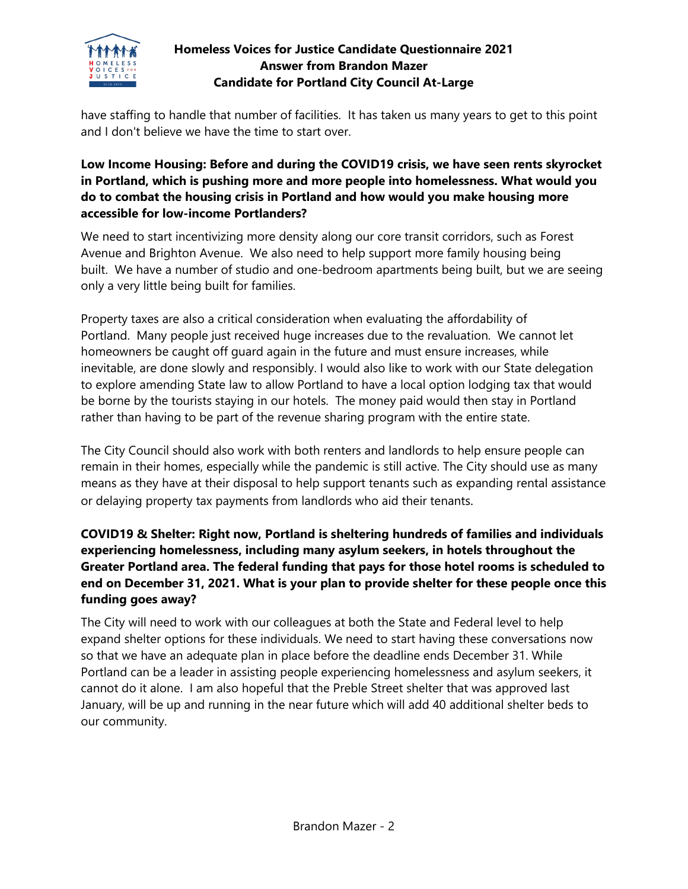

#### **Homeless Voices for Justice Candidate Questionnaire 2021 Answer from Brandon Mazer Candidate for Portland City Council At-Large**

have staffing to handle that number of facilities. It has taken us many years to get to this point and I don't believe we have the time to start over.

# **Low Income Housing: Before and during the COVID19 crisis, we have seen rents skyrocket in Portland, which is pushing more and more people into homelessness. What would you do to combat the housing crisis in Portland and how would you make housing more accessible for low-income Portlanders?**

We need to start incentivizing more density along our core transit corridors, such as Forest Avenue and Brighton Avenue. We also need to help support more family housing being built. We have a number of studio and one-bedroom apartments being built, but we are seeing only a very little being built for families.

Property taxes are also a critical consideration when evaluating the affordability of Portland. Many people just received huge increases due to the revaluation. We cannot let homeowners be caught off guard again in the future and must ensure increases, while inevitable, are done slowly and responsibly. I would also like to work with our State delegation to explore amending State law to allow Portland to have a local option lodging tax that would be borne by the tourists staying in our hotels. The money paid would then stay in Portland rather than having to be part of the revenue sharing program with the entire state.

The City Council should also work with both renters and landlords to help ensure people can remain in their homes, especially while the pandemic is still active. The City should use as many means as they have at their disposal to help support tenants such as expanding rental assistance or delaying property tax payments from landlords who aid their tenants.

## **COVID19 & Shelter: Right now, Portland is sheltering hundreds of families and individuals experiencing homelessness, including many asylum seekers, in hotels throughout the Greater Portland area. The federal funding that pays for those hotel rooms is scheduled to end on December 31, 2021. What is your plan to provide shelter for these people once this funding goes away?**

The City will need to work with our colleagues at both the State and Federal level to help expand shelter options for these individuals. We need to start having these conversations now so that we have an adequate plan in place before the deadline ends December 31. While Portland can be a leader in assisting people experiencing homelessness and asylum seekers, it cannot do it alone. I am also hopeful that the Preble Street shelter that was approved last January, will be up and running in the near future which will add 40 additional shelter beds to our community.